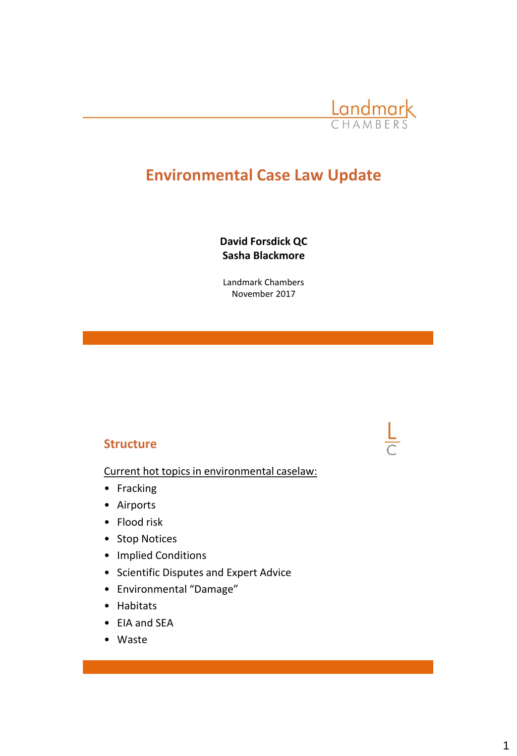

# **Environmental Case Law Update**

**David Forsdick QC Sasha Blackmore**

Landmark Chambers November 2017

#### **Structure**

Current hot topics in environmental caselaw:

- Fracking
- Airports
- Flood risk
- Stop Notices
- Implied Conditions
- Scientific Disputes and Expert Advice
- Environmental "Damage"
- Habitats
- EIA and SEA
- Waste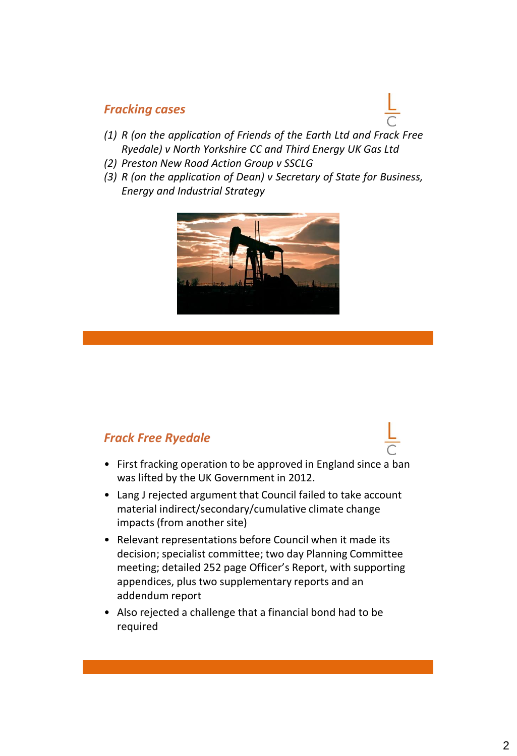#### *Fracking cases*

- *(1) R (on the application of Friends of the Earth Ltd and Frack Free Ryedale) v North Yorkshire CC and Third Energy UK Gas Ltd*
- *(2) Preston New Road Action Group v SSCLG*
- *(3) R (on the application of Dean) v Secretary of State for Business, Energy and Industrial Strategy*



### *Frack Free Ryedale*

- First fracking operation to be approved in England since a ban was lifted by the UK Government in 2012.
- Lang J rejected argument that Council failed to take account material indirect/secondary/cumulative climate change impacts (from another site)
- Relevant representations before Council when it made its decision; specialist committee; two day Planning Committee meeting; detailed 252 page Officer's Report, with supporting appendices, plus two supplementary reports and an addendum report
- Also rejected a challenge that a financial bond had to be required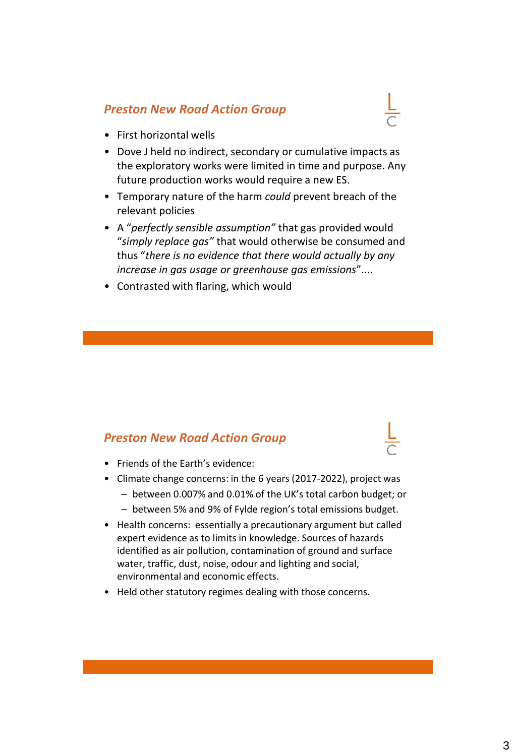# *Preston New Road Action Group*

- First horizontal wells
- Dove J held no indirect, secondary or cumulative impacts as the exploratory works were limited in time and purpose. Any future production works would require a new ES.
- Temporary nature of the harm *could* prevent breach of the relevant policies
- A "*perfectly sensible assumption"* that gas provided would "*simply replace gas"* that would otherwise be consumed and thus "*there is no evidence that there would actually by any increase in gas usage or greenhouse gas emissions*"....
- Contrasted with flaring, which would

### *Preston New Road Action Group*

- Friends of the Earth's evidence:
- Climate change concerns: in the 6 years (2017-2022), project was
	- between 0.007% and 0.01% of the UK's total carbon budget; or
	- between 5% and 9% of Fylde region's total emissions budget.
- Health concerns: essentially a precautionary argument but called expert evidence as to limits in knowledge. Sources of hazards identified as air pollution, contamination of ground and surface water, traffic, dust, noise, odour and lighting and social, environmental and economic effects.
- Held other statutory regimes dealing with those concerns.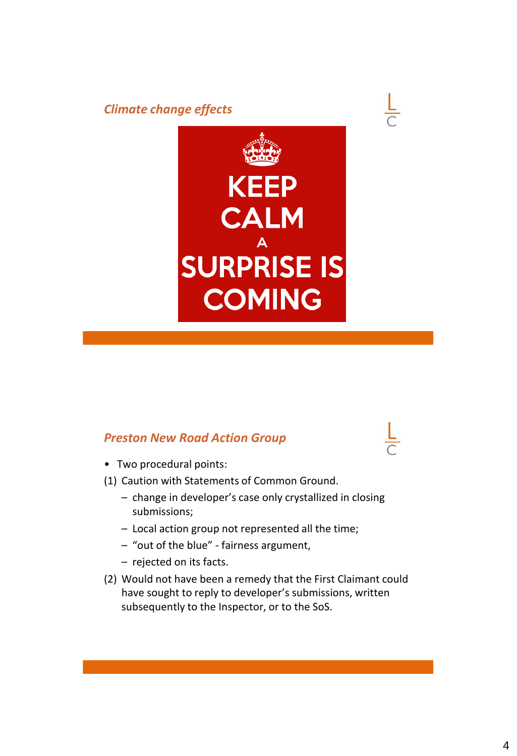#### *Climate change effects*





### *Preston New Road Action Group*

- Two procedural points:
- (1) Caution with Statements of Common Ground.
	- change in developer's case only crystallized in closing submissions;
	- Local action group not represented all the time;
	- "out of the blue" fairness argument,
	- rejected on its facts.
- (2) Would not have been a remedy that the First Claimant could have sought to reply to developer's submissions, written subsequently to the Inspector, or to the SoS.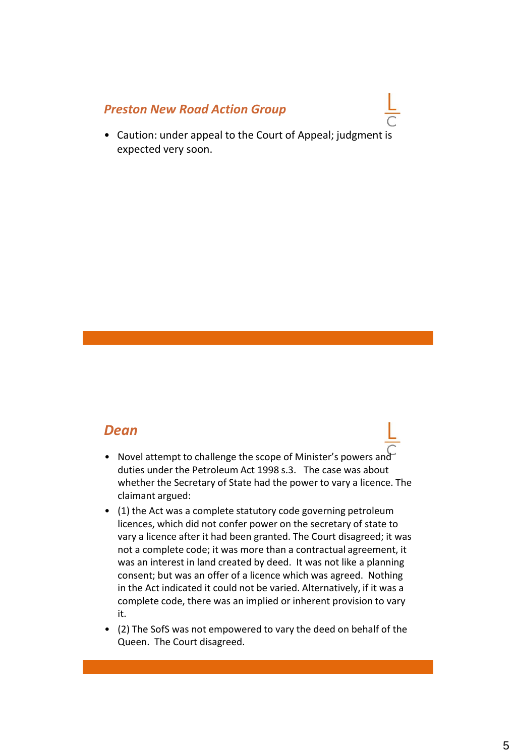#### *Preston New Road Action Group*

• Caution: under appeal to the Court of Appeal; judgment is expected very soon.

### *Dean*

- Novel attempt to challenge the scope of Minister's powers and duties under the Petroleum Act 1998 s.3. The case was about whether the Secretary of State had the power to vary a licence. The claimant argued:
- (1) the Act was a complete statutory code governing petroleum licences, which did not confer power on the secretary of state to vary a licence after it had been granted. The Court disagreed; it was not a complete code; it was more than a contractual agreement, it was an interest in land created by deed. It was not like a planning consent; but was an offer of a licence which was agreed. Nothing in the Act indicated it could not be varied. Alternatively, if it was a complete code, there was an implied or inherent provision to vary it.
- (2) The SofS was not empowered to vary the deed on behalf of the Queen. The Court disagreed.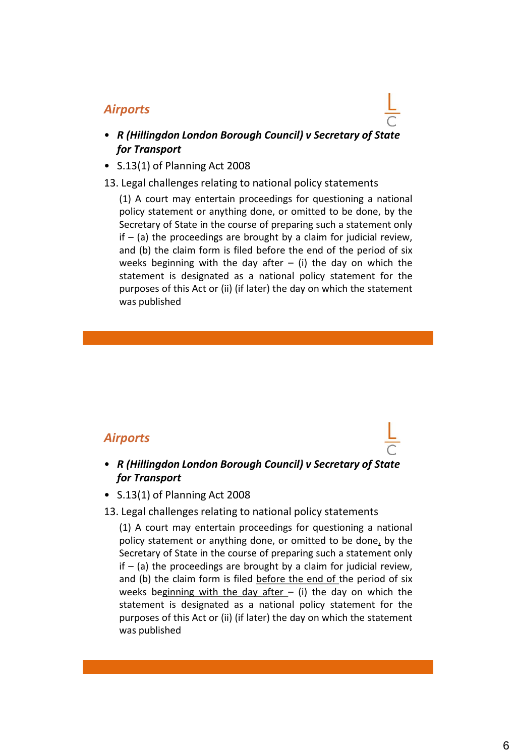#### *Airports*

- *R (Hillingdon London Borough Council) v Secretary of State for Transport*
- S.13(1) of Planning Act 2008
- 13. Legal challenges relating to national policy statements

(1) A court may entertain proceedings for questioning a national policy statement or anything done, or omitted to be done, by the Secretary of State in the course of preparing such a statement only if  $-$  (a) the proceedings are brought by a claim for judicial review, and (b) the claim form is filed before the end of the period of six weeks beginning with the day after  $-$  (i) the day on which the statement is designated as a national policy statement for the purposes of this Act or (ii) (if later) the day on which the statement was published

#### *Airports*

- *R (Hillingdon London Borough Council) v Secretary of State for Transport*
- S.13(1) of Planning Act 2008

#### 13. Legal challenges relating to national policy statements

(1) A court may entertain proceedings for questioning a national policy statement or anything done, or omitted to be done, by the Secretary of State in the course of preparing such a statement only if  $-$  (a) the proceedings are brought by a claim for judicial review, and (b) the claim form is filed before the end of the period of six weeks beginning with the day after  $-$  (i) the day on which the statement is designated as a national policy statement for the purposes of this Act or (ii) (if later) the day on which the statement was published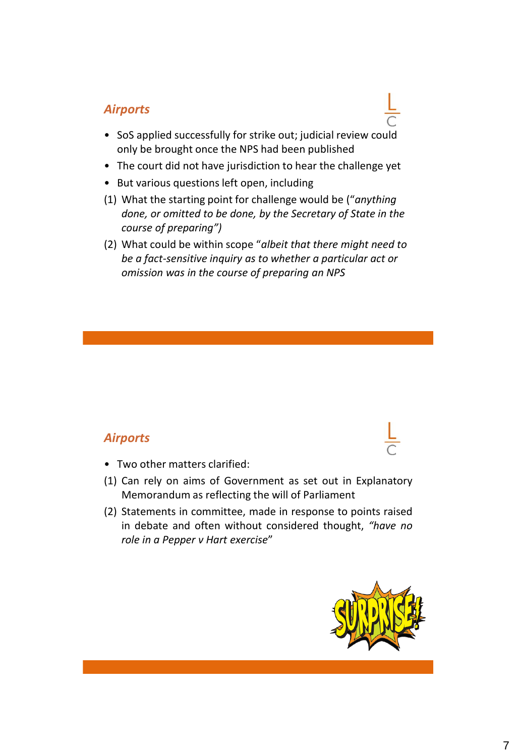# *Airports*

- SoS applied successfully for strike out; judicial review could only be brought once the NPS had been published
- The court did not have jurisdiction to hear the challenge yet
- But various questions left open, including
- (1) What the starting point for challenge would be ("*anything done, or omitted to be done, by the Secretary of State in the course of preparing")*
- (2) What could be within scope "*albeit that there might need to be a fact-sensitive inquiry as to whether a particular act or omission was in the course of preparing an NPS*

### *Airports*

- Two other matters clarified:
- (1) Can rely on aims of Government as set out in Explanatory Memorandum as reflecting the will of Parliament
- (2) Statements in committee, made in response to points raised in debate and often without considered thought, *"have no role in a Pepper v Hart exercise*"

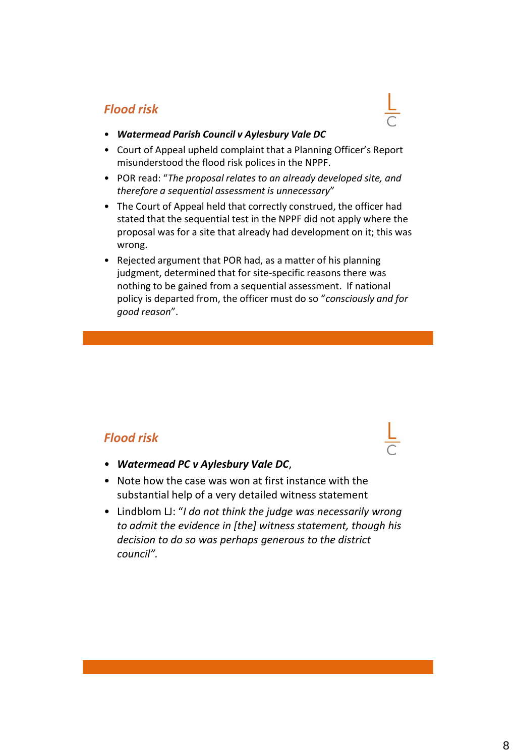# *Flood risk*

- *Watermead Parish Council v Aylesbury Vale DC*
- Court of Appeal upheld complaint that a Planning Officer's Report misunderstood the flood risk polices in the NPPF.
- POR read: "*The proposal relates to an already developed site, and therefore a sequential assessment is unnecessary*"
- The Court of Appeal held that correctly construed, the officer had stated that the sequential test in the NPPF did not apply where the proposal was for a site that already had development on it; this was wrong.
- Rejected argument that POR had, as a matter of his planning judgment, determined that for site-specific reasons there was nothing to be gained from a sequential assessment. If national policy is departed from, the officer must do so "*consciously and for good reason*".

# *Flood risk*

- *Watermead PC v Aylesbury Vale DC*,
- Note how the case was won at first instance with the substantial help of a very detailed witness statement
- Lindblom LJ: "*I do not think the judge was necessarily wrong to admit the evidence in [the] witness statement, though his decision to do so was perhaps generous to the district council".*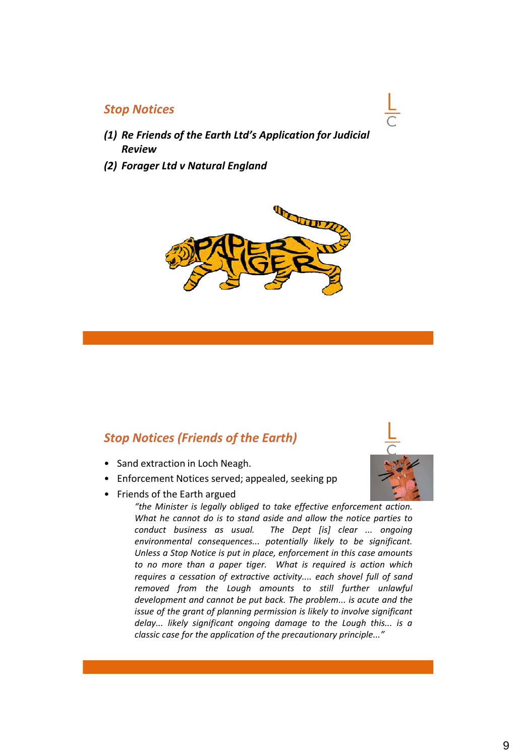#### *Stop Notices*

- *(1) Re Friends of the Earth Ltd's Application for Judicial Review*
- *(2) Forager Ltd v Natural England*



### *Stop Notices (Friends of the Earth)*

- Sand extraction in Loch Neagh.
- Enforcement Notices served; appealed, seeking pp
- Friends of the Earth argued

*"the Minister is legally obliged to take effective enforcement action. What he cannot do is to stand aside and allow the notice parties to conduct business as usual. The Dept [is] clear ... ongoing environmental consequences... potentially likely to be significant. Unless a Stop Notice is put in place, enforcement in this case amounts to no more than a paper tiger. What is required is action which requires a cessation of extractive activity.... each shovel full of sand removed from the Lough amounts to still further unlawful development and cannot be put back. The problem... is acute and the issue of the grant of planning permission is likely to involve significant delay... likely significant ongoing damage to the Lough this... is a classic case for the application of the precautionary principle..."*

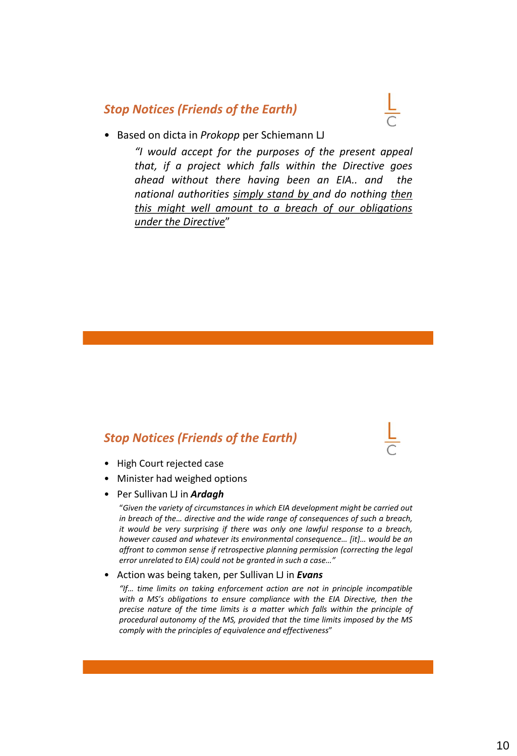#### *Stop Notices (Friends of the Earth)*



#### • Based on dicta in *Prokopp* per Schiemann LJ

*"I would accept for the purposes of the present appeal that, if a project which falls within the Directive goes ahead without there having been an EIA.. and the national authorities simply stand by and do nothing then this might well amount to a breach of our obligations under the Directive*"

### *Stop Notices (Friends of the Earth)*

- High Court rejected case
- Minister had weighed options
- Per Sullivan LJ in *Ardagh*

"*Given the variety of circumstances in which EIA development might be carried out in breach of the… directive and the wide range of consequences of such a breach, it would be very surprising if there was only one lawful response to a breach, however caused and whatever its environmental consequence… [it]… would be an affront to common sense if retrospective planning permission (correcting the legal error unrelated to EIA) could not be granted in such a case…"*

#### • Action was being taken, per Sullivan LJ in *Evans*

*"If… time limits on taking enforcement action are not in principle incompatible with a MS's obligations to ensure compliance with the EIA Directive, then the precise nature of the time limits is a matter which falls within the principle of procedural autonomy of the MS, provided that the time limits imposed by the MS comply with the principles of equivalence and effectiveness*"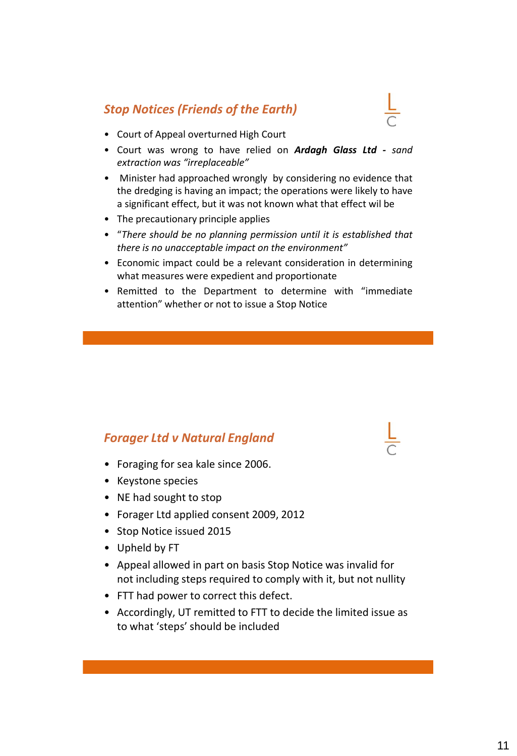# *Stop Notices (Friends of the Earth)*



- Court was wrong to have relied on *Ardagh Glass Ltd - sand extraction was "irreplaceable"*
- Minister had approached wrongly by considering no evidence that the dredging is having an impact; the operations were likely to have a significant effect, but it was not known what that effect wil be
- The precautionary principle applies
- "*There should be no planning permission until it is established that there is no unacceptable impact on the environment"*
- Economic impact could be a relevant consideration in determining what measures were expedient and proportionate
- Remitted to the Department to determine with "immediate attention" whether or not to issue a Stop Notice

### *Forager Ltd v Natural England*

- Foraging for sea kale since 2006.
- Keystone species
- NE had sought to stop
- Forager Ltd applied consent 2009, 2012
- Stop Notice issued 2015
- Upheld by FT
- Appeal allowed in part on basis Stop Notice was invalid for not including steps required to comply with it, but not nullity
- FTT had power to correct this defect.
- Accordingly, UT remitted to FTT to decide the limited issue as to what 'steps' should be included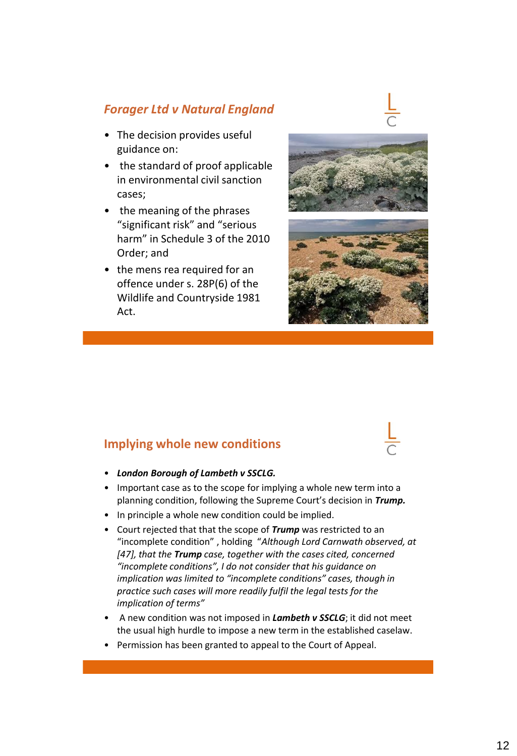# *Forager Ltd v Natural England*

- The decision provides useful guidance on:
- the standard of proof applicable in environmental civil sanction cases;
- the meaning of the phrases "significant risk" and "serious harm" in Schedule 3 of the 2010 Order; and
- the mens rea required for an offence under s. 28P(6) of the Wildlife and Countryside 1981 Act.







### **Implying whole new conditions**



- *London Borough of Lambeth v SSCLG.*
- Important case as to the scope for implying a whole new term into a planning condition, following the Supreme Court's decision in *Trump.*
- In principle a whole new condition could be implied.
- Court rejected that that the scope of *Trump* was restricted to an "incomplete condition" , holding "*Although Lord Carnwath observed, at [47], that the Trump case, together with the cases cited, concerned "incomplete conditions", I do not consider that his guidance on implication was limited to "incomplete conditions" cases, though in practice such cases will more readily fulfil the legal tests for the implication of terms"*
- A new condition was not imposed in *Lambeth v SSCLG*; it did not meet the usual high hurdle to impose a new term in the established caselaw.
- Permission has been granted to appeal to the Court of Appeal.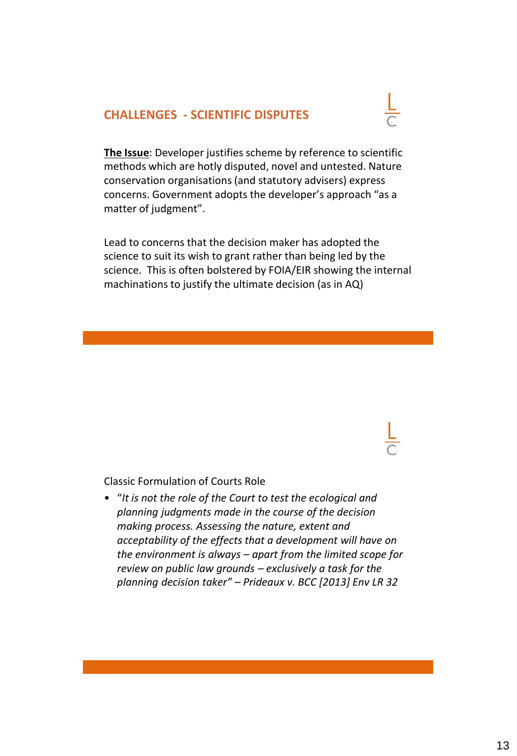### **CHALLENGES - SCIENTIFIC DISPUTES**



**The Issue**: Developer justifies scheme by reference to scientific methods which are hotly disputed, novel and untested. Nature conservation organisations (and statutory advisers) express concerns. Government adopts the developer's approach "as a matter of judgment".

Lead to concerns that the decision maker has adopted the science to suit its wish to grant rather than being led by the science. This is often bolstered by FOIA/EIR showing the internal machinations to justify the ultimate decision (as in AQ)

Classic Formulation of Courts Role

• "*It is not the role of the Court to test the ecological and planning judgments made in the course of the decision making process. Assessing the nature, extent and acceptability of the effects that a development will have on the environment is always – apart from the limited scope for review on public law grounds – exclusively a task for the planning decision taker" – Prideaux v. BCC [2013] Env LR 32*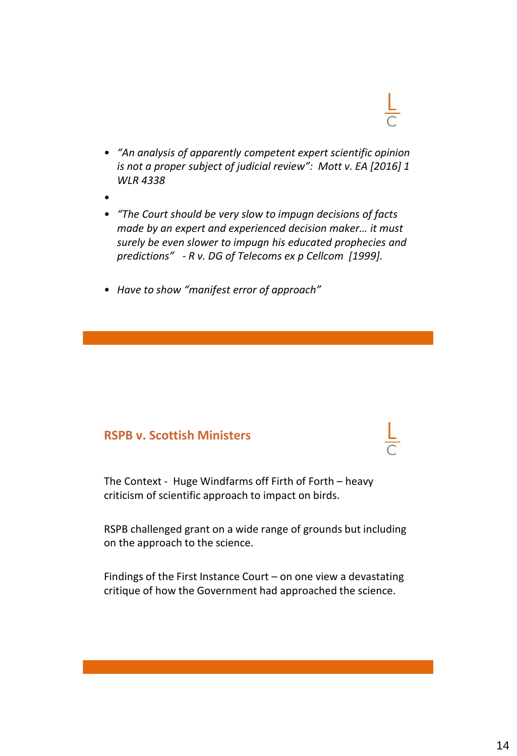- *"An analysis of apparently competent expert scientific opinion is not a proper subject of judicial review": Mott v. EA [2016] 1 WLR 4338*
- •
- *"The Court should be very slow to impugn decisions of facts made by an expert and experienced decision maker… it must surely be even slower to impugn his educated prophecies and predictions" - R v. DG of Telecoms ex p Cellcom [1999].*
- *Have to show "manifest error of approach"*

# **RSPB v. Scottish Ministers**

The Context - Huge Windfarms off Firth of Forth – heavy criticism of scientific approach to impact on birds.

RSPB challenged grant on a wide range of grounds but including on the approach to the science.

Findings of the First Instance Court – on one view a devastating critique of how the Government had approached the science.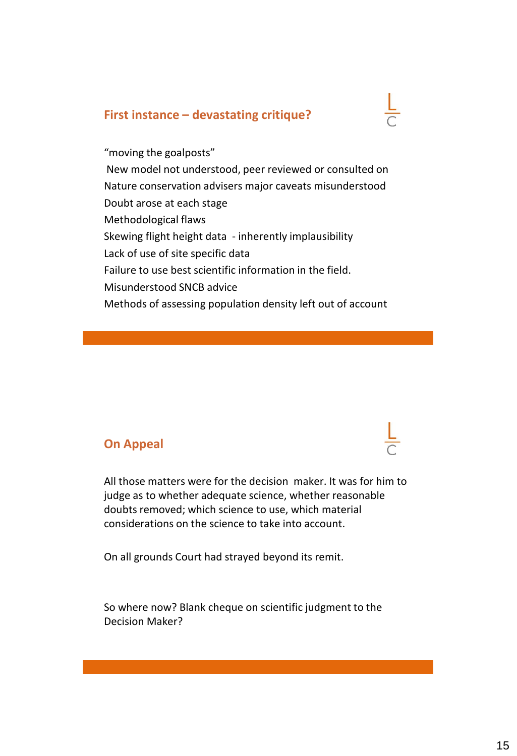### **First instance – devastating critique?**

"moving the goalposts" New model not understood, peer reviewed or consulted on Nature conservation advisers major caveats misunderstood Doubt arose at each stage Methodological flaws Skewing flight height data - inherently implausibility Lack of use of site specific data Failure to use best scientific information in the field. Misunderstood SNCB advice Methods of assessing population density left out of account

### **On Appeal**

All those matters were for the decision maker. It was for him to judge as to whether adequate science, whether reasonable doubts removed; which science to use, which material considerations on the science to take into account.

On all grounds Court had strayed beyond its remit.

So where now? Blank cheque on scientific judgment to the Decision Maker?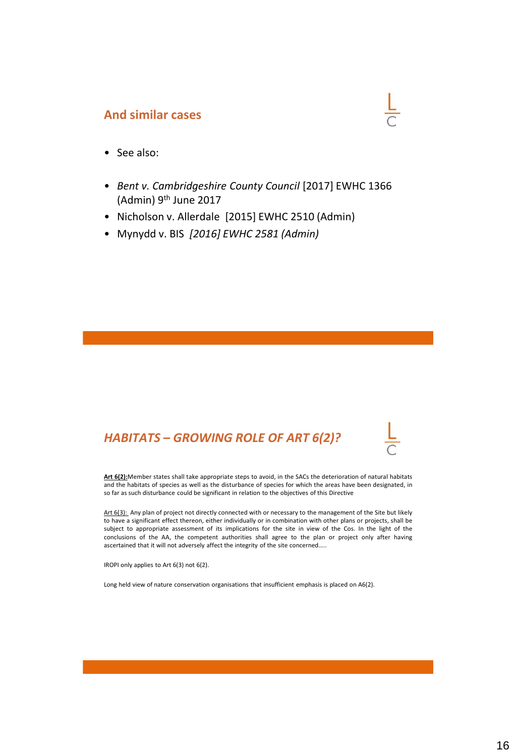#### **And similar cases**

- See also:
- *Bent v. Cambridgeshire County Council* [2017] EWHC 1366 (Admin) 9th June 2017
- Nicholson v. Allerdale [2015] EWHC 2510 (Admin)
- Mynydd v. BIS *[2016] EWHC 2581 (Admin)*



**Art 6(2):**Member states shall take appropriate steps to avoid, in the SACs the deterioration of natural habitats and the habitats of species as well as the disturbance of species for which the areas have been designated, in so far as such disturbance could be significant in relation to the objectives of this Directive

Art 6(3): Any plan of project not directly connected with or necessary to the management of the Site but likely to have a significant effect thereon, either individually or in combination with other plans or projects, shall be subject to appropriate assessment of its implications for the site in view of the Cos. In the light of the conclusions of the AA, the competent authorities shall agree to the plan or project only after having ascertained that it will not adversely affect the integrity of the site concerned…..

IROPI only applies to Art 6(3) not 6(2).

Long held view of nature conservation organisations that insufficient emphasis is placed on A6(2).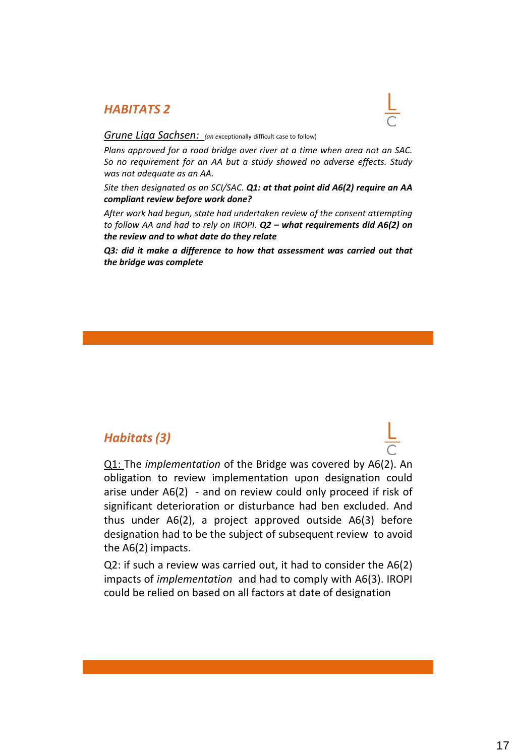#### *HABITATS 2*



#### *Grune Liga Sachsen: (an <sup>e</sup>*xceptionally difficult case to follow)

*Plans approved for a road bridge over river at a time when area not an SAC. So no requirement for an AA but a study showed no adverse effects. Study was not adequate as an AA.*

*Site then designated as an SCI/SAC. Q1: at that point did A6(2) require an AA compliant review before work done?*

*After work had begun, state had undertaken review of the consent attempting to follow AA and had to rely on IROPI. Q2 – what requirements did A6(2) on the review and to what date do they relate*

*Q3: did it make a difference to how that assessment was carried out that the bridge was complete*

### *Habitats (3)*

Q1: The *implementation* of the Bridge was covered by A6(2). An obligation to review implementation upon designation could arise under A6(2) - and on review could only proceed if risk of significant deterioration or disturbance had ben excluded. And thus under A6(2), a project approved outside A6(3) before designation had to be the subject of subsequent review to avoid the A6(2) impacts.

Q2: if such a review was carried out, it had to consider the A6(2) impacts of *implementation* and had to comply with A6(3). IROPI could be relied on based on all factors at date of designation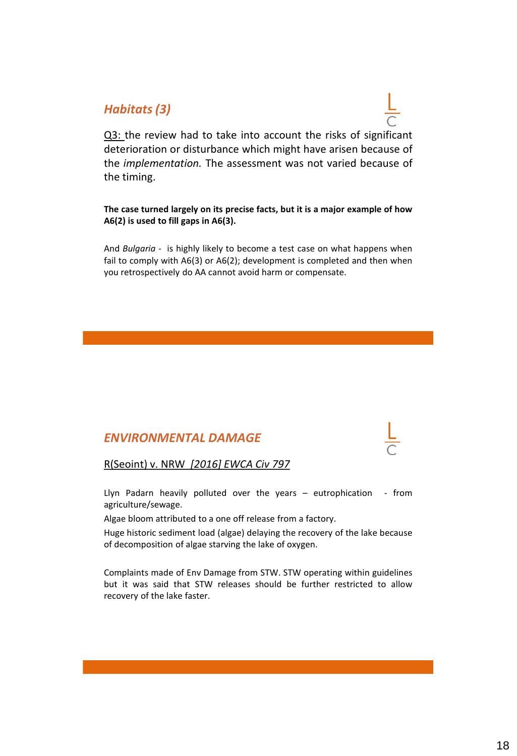# *Habitats (3)*

Q3: the review had to take into account the risks of significant deterioration or disturbance which might have arisen because of the *implementation.* The assessment was not varied because of the timing.

**The case turned largely on its precise facts, but it is a major example of how A6(2) is used to fill gaps in A6(3).**

And *Bulgaria -* is highly likely to become a test case on what happens when fail to comply with A6(3) or A6(2); development is completed and then when you retrospectively do AA cannot avoid harm or compensate.

# *ENVIRONMENTAL DAMAGE*

R(Seoint) v. NRW *[2016] EWCA Civ 797*

Llyn Padarn heavily polluted over the years – eutrophication - from agriculture/sewage.

Algae bloom attributed to a one off release from a factory.

Huge historic sediment load (algae) delaying the recovery of the lake because of decomposition of algae starving the lake of oxygen.

Complaints made of Env Damage from STW. STW operating within guidelines but it was said that STW releases should be further restricted to allow recovery of the lake faster.